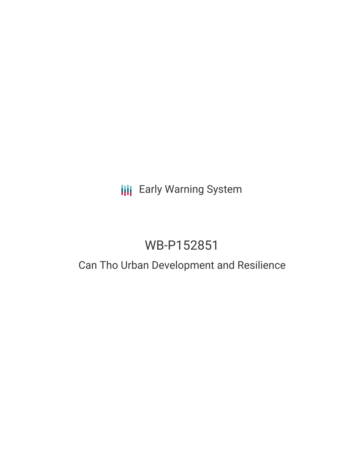# **III** Early Warning System

# WB-P152851

## Can Tho Urban Development and Resilience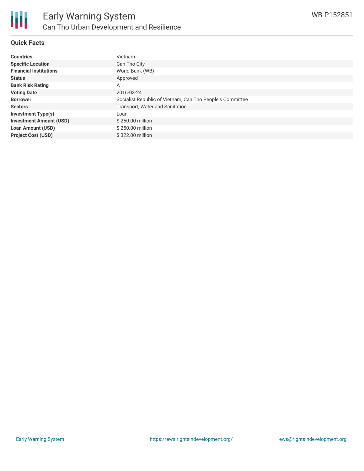

#### **Quick Facts**

| <b>Countries</b>               | Vietnam                                                   |
|--------------------------------|-----------------------------------------------------------|
| <b>Specific Location</b>       | Can Tho City                                              |
| <b>Financial Institutions</b>  | World Bank (WB)                                           |
| <b>Status</b>                  | Approved                                                  |
| <b>Bank Risk Rating</b>        | A                                                         |
| <b>Voting Date</b>             | 2016-03-24                                                |
| <b>Borrower</b>                | Socialist Republic of Vietnam, Can Tho People's Committee |
| <b>Sectors</b>                 | Transport, Water and Sanitation                           |
| <b>Investment Type(s)</b>      | Loan                                                      |
| <b>Investment Amount (USD)</b> | \$250.00 million                                          |
| <b>Loan Amount (USD)</b>       | \$250.00 million                                          |
| <b>Project Cost (USD)</b>      | \$322.00 million                                          |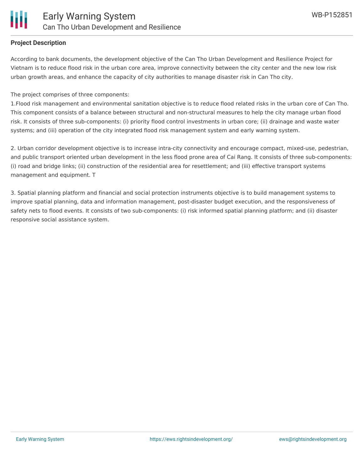### **Project Description**

According to bank documents, the development objective of the Can Tho Urban Development and Resilience Project for Vietnam is to reduce flood risk in the urban core area, improve connectivity between the city center and the new low risk urban growth areas, and enhance the capacity of city authorities to manage disaster risk in Can Tho city.

The project comprises of three components:

1.Flood risk management and environmental sanitation objective is to reduce flood related risks in the urban core of Can Tho. This component consists of a balance between structural and non-structural measures to help the city manage urban flood risk. It consists of three sub-components: (i) priority flood control investments in urban core; (ii) drainage and waste water systems; and (iii) operation of the city integrated flood risk management system and early warning system.

2. Urban corridor development objective is to increase intra-city connectivity and encourage compact, mixed-use, pedestrian, and public transport oriented urban development in the less flood prone area of Cai Rang. It consists of three sub-components: (i) road and bridge links; (ii) construction of the residential area for resettlement; and (iii) effective transport systems management and equipment. T

3. Spatial planning platform and financial and social protection instruments objective is to build management systems to improve spatial planning, data and information management, post-disaster budget execution, and the responsiveness of safety nets to flood events. It consists of two sub-components: (i) risk informed spatial planning platform; and (ii) disaster responsive social assistance system.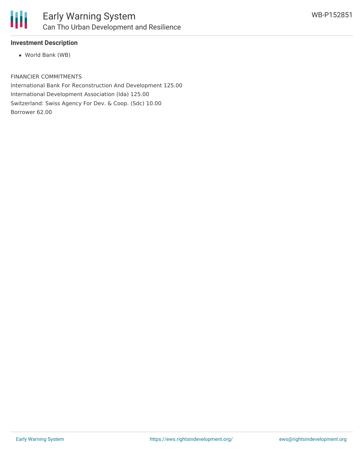

### **Investment Description**

World Bank (WB)

FINANCIER COMMITMENTS

International Bank For Reconstruction And Development 125.00 International Development Association (Ida) 125.00 Switzerland: Swiss Agency For Dev. & Coop. (Sdc) 10.00 Borrower 62.00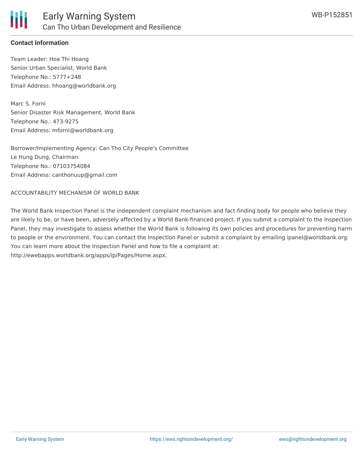

### **Contact Information**

Team Leader: Hoa Thi Hoang Senior Urban Specialist, World Bank Telephone No.: 5777+248 Email Address: hhoang@worldbank.org

Marc S. Forni Senior Disaster Risk Management, World Bank Telephone No.: 473-9275 Email Address: mforni@worldbank.org

Borrower/Implementing Agency: Can Tho City People's Committee Le Hung Dung, Chairman Telephone No.: 07103754084 Email Address: canthonuup@gmail.com

#### ACCOUNTABILITY MECHANISM OF WORLD BANK

The World Bank Inspection Panel is the independent complaint mechanism and fact-finding body for people who believe they are likely to be, or have been, adversely affected by a World Bank-financed project. If you submit a complaint to the Inspection Panel, they may investigate to assess whether the World Bank is following its own policies and procedures for preventing harm to people or the environment. You can contact the Inspection Panel or submit a complaint by emailing ipanel@worldbank.org. You can learn more about the Inspection Panel and how to file a complaint at: http://ewebapps.worldbank.org/apps/ip/Pages/Home.aspx.